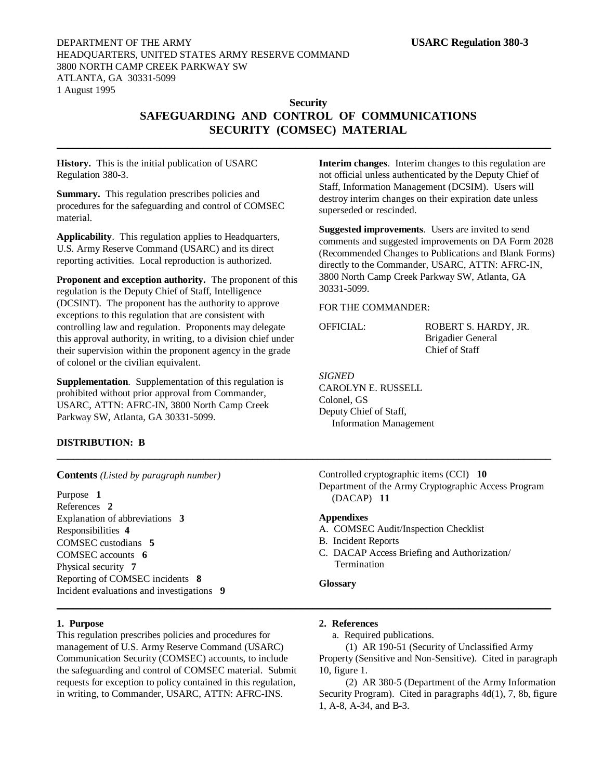## **Security SAFEGUARDING AND CONTROL OF COMMUNICATIONS SECURITY (COMSEC) MATERIAL**

**\_\_\_\_\_\_\_\_\_\_\_\_\_\_\_\_\_\_\_\_\_\_\_\_\_\_\_\_\_\_\_\_\_\_\_\_\_\_\_\_\_\_\_\_\_\_\_\_\_\_\_\_\_\_\_\_\_\_\_\_\_\_\_\_\_\_\_\_\_\_\_\_\_\_\_\_\_\_\_\_\_\_\_\_\_\_\_\_\_\_\_**

**History.** This is the initial publication of USARC Regulation 380-3.

Summary. This regulation prescribes policies and procedures for the safeguarding and control of COMSEC material.

**Applicability**. This regulation applies to Headquarters, U.S. Army Reserve Command (USARC) and its direct reporting activities. Local reproduction is authorized.

**Proponent and exception authority.** The proponent of this regulation is the Deputy Chief of Staff, Intelligence (DCSINT). The proponent has the authority to approve exceptions to this regulation that are consistent with controlling law and regulation. Proponents may delegate this approval authority, in writing, to a division chief under their supervision within the proponent agency in the grade of colonel or the civilian equivalent.

**Supplementation**. Supplementation of this regulation is prohibited without prior approval from Commander, USARC, ATTN: AFRC-IN, 3800 North Camp Creek Parkway SW, Atlanta, GA 30331-5099.

### **DISTRIBUTION: B**

**Contents** *(Listed by paragraph number)*

Purpose **1** References **2** Explanation of abbreviations **3** Responsibilities **4** COMSEC custodians **5** COMSEC accounts **6** Physical security **7** Reporting of COMSEC incidents **8** Incident evaluations and investigations **9**

### **1. Purpose**

This regulation prescribes policies and procedures for management of U.S. Army Reserve Command (USARC) Communication Security (COMSEC) accounts, to include the safeguarding and control of COMSEC material. Submit requests for exception to policy contained in this regulation, in writing, to Commander, USARC, ATTN: AFRC-INS.

**Interim changes**. Interim changes to this regulation are not official unless authenticated by the Deputy Chief of Staff, Information Management (DCSIM). Users will destroy interim changes on their expiration date unless superseded or rescinded.

**Suggested improvements**. Users are invited to send comments and suggested improvements on DA Form 2028 (Recommended Changes to Publications and Blank Forms) directly to the Commander, USARC, ATTN: AFRC-IN, 3800 North Camp Creek Parkway SW, Atlanta, GA 30331-5099.

### FOR THE COMMANDER:

OFFICIAL: ROBERT S. HARDY, JR. Brigadier General Chief of Staff

### *SIGNED*

\_\_\_\_\_\_\_\_\_\_\_\_\_\_\_\_\_\_\_\_\_\_\_\_\_\_\_\_\_\_\_\_\_\_\_\_\_\_\_\_\_\_\_\_\_\_\_\_\_\_\_\_\_\_\_\_\_\_\_\_\_\_\_\_\_\_\_\_\_\_\_\_\_\_\_\_\_\_\_\_\_\_\_\_\_\_\_\_\_\_\_

**\_\_\_\_\_\_\_\_\_\_\_\_\_\_\_\_\_\_\_\_\_\_\_\_\_\_\_\_\_\_\_\_\_\_\_\_\_\_\_\_\_\_\_\_\_\_\_\_\_\_\_\_\_\_\_\_\_\_\_\_\_\_\_\_\_\_\_\_\_\_\_\_\_\_\_\_\_\_\_\_\_\_\_\_\_\_\_\_\_\_\_**

CAROLYN E. RUSSELL Colonel, GS Deputy Chief of Staff, Information Management

Controlled cryptographic items (CCI) **10** Department of the Army Cryptographic Access Program (DACAP) **11**

### **Appendixes**

- A. COMSEC Audit/Inspection Checklist
- B. Incident Reports
- C. DACAP Access Briefing and Authorization/ Termination

#### **Glossary**

#### **2. References**

a. Required publications.

(1) AR 190-51 (Security of Unclassified Army Property (Sensitive and Non-Sensitive). Cited in paragraph 10, figure 1.

(2) AR 380-5 (Department of the Army Information Security Program). Cited in paragraphs 4d(1), 7, 8b, figure 1, A-8, A-34, and B-3.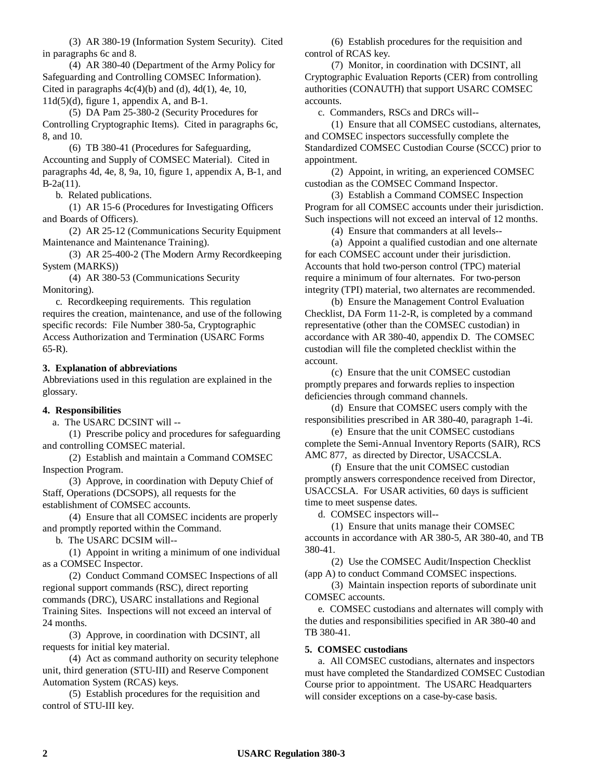(3) AR 380-19 (Information System Security). Cited in paragraphs 6c and 8.

(4) AR 380-40 (Department of the Army Policy for Safeguarding and Controlling COMSEC Information). Cited in paragraphs  $4c(4)(b)$  and (d),  $4d(1)$ , 4e, 10,  $11d(5)(d)$ , figure 1, appendix A, and B-1.

(5) DA Pam 25-380-2 (Security Procedures for Controlling Cryptographic Items). Cited in paragraphs 6c, 8, and 10.

(6) TB 380-41 (Procedures for Safeguarding, Accounting and Supply of COMSEC Material). Cited in paragraphs 4d, 4e, 8, 9a, 10, figure 1, appendix A, B-1, and B-2a(11).

b. Related publications.

(1) AR 15-6 (Procedures for Investigating Officers and Boards of Officers).

(2) AR 25-12 (Communications Security Equipment Maintenance and Maintenance Training).

(3) AR 25-400-2 (The Modern Army Recordkeeping System (MARKS))

(4) AR 380-53 (Communications Security Monitoring).

c. Recordkeeping requirements. This regulation requires the creation, maintenance, and use of the following specific records: File Number 380-5a, Cryptographic Access Authorization and Termination (USARC Forms 65-R).

### **3. Explanation of abbreviations**

Abbreviations used in this regulation are explained in the glossary.

#### **4. Responsibilities**

a. The USARC DCSINT will --

(1) Prescribe policy and procedures for safeguarding and controlling COMSEC material.

(2) Establish and maintain a Command COMSEC Inspection Program.

(3) Approve, in coordination with Deputy Chief of Staff, Operations (DCSOPS), all requests for the establishment of COMSEC accounts.

(4) Ensure that all COMSEC incidents are properly and promptly reported within the Command.

b. The USARC DCSIM will--

(1) Appoint in writing a minimum of one individual as a COMSEC Inspector.

(2) Conduct Command COMSEC Inspections of all regional support commands (RSC), direct reporting commands (DRC), USARC installations and Regional Training Sites. Inspections will not exceed an interval of 24 months.

(3) Approve, in coordination with DCSINT, all requests for initial key material.

(4) Act as command authority on security telephone unit, third generation (STU-III) and Reserve Component Automation System (RCAS) keys.

(5) Establish procedures for the requisition and control of STU-III key.

(6) Establish procedures for the requisition and control of RCAS key.

(7) Monitor, in coordination with DCSINT, all Cryptographic Evaluation Reports (CER) from controlling authorities (CONAUTH) that support USARC COMSEC accounts.

c. Commanders, RSCs and DRCs will--

(1) Ensure that all COMSEC custodians, alternates, and COMSEC inspectors successfully complete the Standardized COMSEC Custodian Course (SCCC) prior to appointment.

(2) Appoint, in writing, an experienced COMSEC custodian as the COMSEC Command Inspector.

(3) Establish a Command COMSEC Inspection Program for all COMSEC accounts under their jurisdiction. Such inspections will not exceed an interval of 12 months.

(4) Ensure that commanders at all levels--

(a) Appoint a qualified custodian and one alternate for each COMSEC account under their jurisdiction. Accounts that hold two-person control (TPC) material require a minimum of four alternates. For two-person integrity (TPI) material, two alternates are recommended.

(b) Ensure the Management Control Evaluation Checklist, DA Form 11-2-R, is completed by a command representative (other than the COMSEC custodian) in accordance with AR 380-40, appendix D. The COMSEC custodian will file the completed checklist within the account.

(c) Ensure that the unit COMSEC custodian promptly prepares and forwards replies to inspection deficiencies through command channels.

(d) Ensure that COMSEC users comply with the responsibilities prescribed in AR 380-40, paragraph 1-4i.

(e) Ensure that the unit COMSEC custodians complete the Semi-Annual Inventory Reports (SAIR), RCS AMC 877, as directed by Director, USACCSLA.

(f) Ensure that the unit COMSEC custodian promptly answers correspondence received from Director, USACCSLA. For USAR activities, 60 days is sufficient time to meet suspense dates.

d. COMSEC inspectors will--

(1) Ensure that units manage their COMSEC accounts in accordance with AR 380-5, AR 380-40, and TB 380-41.

(2) Use the COMSEC Audit/Inspection Checklist (app A) to conduct Command COMSEC inspections.

(3) Maintain inspection reports of subordinate unit COMSEC accounts.

e. COMSEC custodians and alternates will comply with the duties and responsibilities specified in AR 380-40 and TB 380-41.

#### **5. COMSEC custodians**

a. All COMSEC custodians, alternates and inspectors must have completed the Standardized COMSEC Custodian Course prior to appointment. The USARC Headquarters will consider exceptions on a case-by-case basis.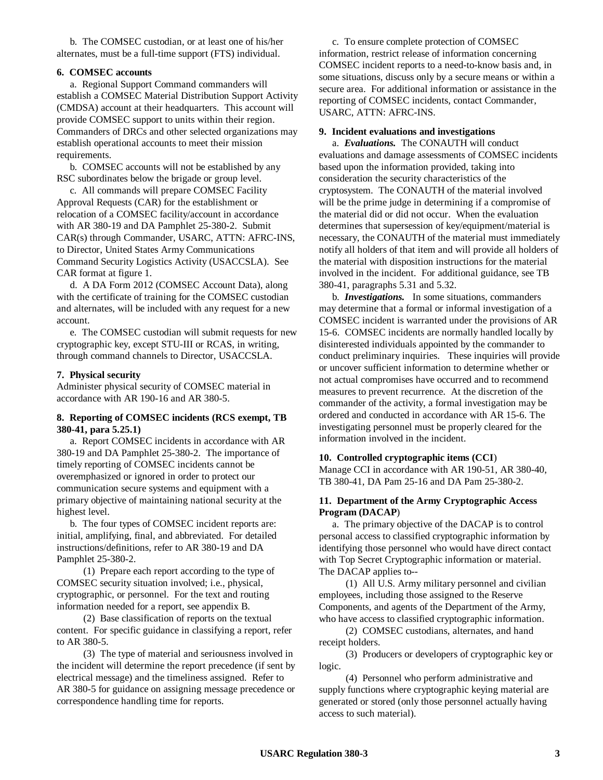b. The COMSEC custodian, or at least one of his/her alternates, must be a full-time support (FTS) individual.

### **6. COMSEC accounts**

a. Regional Support Command commanders will establish a COMSEC Material Distribution Support Activity (CMDSA) account at their headquarters. This account will provide COMSEC support to units within their region. Commanders of DRCs and other selected organizations may establish operational accounts to meet their mission requirements.

b. COMSEC accounts will not be established by any RSC subordinates below the brigade or group level.

c. All commands will prepare COMSEC Facility Approval Requests (CAR) for the establishment or relocation of a COMSEC facility/account in accordance with AR 380-19 and DA Pamphlet 25-380-2. Submit CAR(s) through Commander, USARC, ATTN: AFRC-INS, to Director, United States Army Communications Command Security Logistics Activity (USACCSLA). See CAR format at figure 1.

d. A DA Form 2012 (COMSEC Account Data), along with the certificate of training for the COMSEC custodian and alternates, will be included with any request for a new account.

e. The COMSEC custodian will submit requests for new cryptographic key, except STU-III or RCAS, in writing, through command channels to Director, USACCSLA.

### **7. Physical security**

Administer physical security of COMSEC material in accordance with AR 190-16 and AR 380-5.

### **8. Reporting of COMSEC incidents (RCS exempt, TB 380-41, para 5.25.1)**

a. Report COMSEC incidents in accordance with AR 380-19 and DA Pamphlet 25-380-2. The importance of timely reporting of COMSEC incidents cannot be overemphasized or ignored in order to protect our communication secure systems and equipment with a primary objective of maintaining national security at the highest level.

b. The four types of COMSEC incident reports are: initial, amplifying, final, and abbreviated. For detailed instructions/definitions, refer to AR 380-19 and DA Pamphlet 25-380-2.

(1) Prepare each report according to the type of COMSEC security situation involved; i.e., physical, cryptographic, or personnel. For the text and routing information needed for a report, see appendix B.

(2) Base classification of reports on the textual content. For specific guidance in classifying a report, refer to AR 380-5.

(3) The type of material and seriousness involved in the incident will determine the report precedence (if sent by electrical message) and the timeliness assigned. Refer to AR 380-5 for guidance on assigning message precedence or correspondence handling time for reports.

c. To ensure complete protection of COMSEC information, restrict release of information concerning COMSEC incident reports to a need-to-know basis and, in some situations, discuss only by a secure means or within a secure area. For additional information or assistance in the reporting of COMSEC incidents, contact Commander, USARC, ATTN: AFRC-INS.

### **9. Incident evaluations and investigations**

a. *Evaluations.* The CONAUTH will conduct evaluations and damage assessments of COMSEC incidents based upon the information provided, taking into consideration the security characteristics of the cryptosystem. The CONAUTH of the material involved will be the prime judge in determining if a compromise of the material did or did not occur. When the evaluation determines that supersession of key/equipment/material is necessary, the CONAUTH of the material must immediately notify all holders of that item and will provide all holders of the material with disposition instructions for the material involved in the incident. For additional guidance, see TB 380-41, paragraphs 5.31 and 5.32.

b. *Investigations.* In some situations, commanders may determine that a formal or informal investigation of a COMSEC incident is warranted under the provisions of AR 15-6. COMSEC incidents are normally handled locally by disinterested individuals appointed by the commander to conduct preliminary inquiries. These inquiries will provide or uncover sufficient information to determine whether or not actual compromises have occurred and to recommend measures to prevent recurrence. At the discretion of the commander of the activity, a formal investigation may be ordered and conducted in accordance with AR 15-6. The investigating personnel must be properly cleared for the information involved in the incident.

### **10. Controlled cryptographic items (CCI**)

Manage CCI in accordance with AR 190-51, AR 380-40, TB 380-41, DA Pam 25-16 and DA Pam 25-380-2.

### **11. Department of the Army Cryptographic Access Program (DACAP**)

a. The primary objective of the DACAP is to control personal access to classified cryptographic information by identifying those personnel who would have direct contact with Top Secret Cryptographic information or material. The DACAP applies to--

(1) All U.S. Army military personnel and civilian employees, including those assigned to the Reserve Components, and agents of the Department of the Army, who have access to classified cryptographic information.

(2) COMSEC custodians, alternates, and hand receipt holders.

(3) Producers or developers of cryptographic key or logic.

(4) Personnel who perform administrative and supply functions where cryptographic keying material are generated or stored (only those personnel actually having access to such material).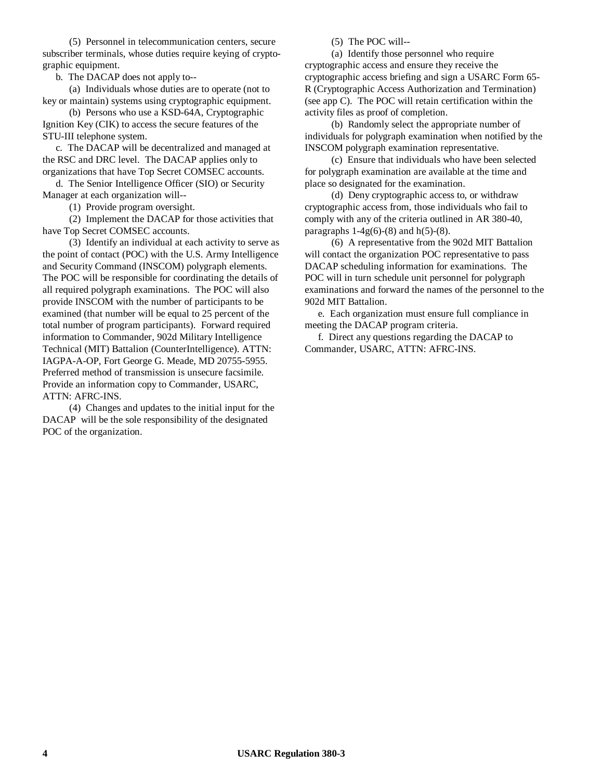(5) Personnel in telecommunication centers, secure subscriber terminals, whose duties require keying of cryptographic equipment.

b. The DACAP does not apply to--

(a) Individuals whose duties are to operate (not to key or maintain) systems using cryptographic equipment.

(b) Persons who use a KSD-64A, Cryptographic Ignition Key (CIK) to access the secure features of the STU-III telephone system.

c. The DACAP will be decentralized and managed at the RSC and DRC level. The DACAP applies only to organizations that have Top Secret COMSEC accounts.

d. The Senior Intelligence Officer (SIO) or Security Manager at each organization will--

(1) Provide program oversight.

(2) Implement the DACAP for those activities that have Top Secret COMSEC accounts.

(3) Identify an individual at each activity to serve as the point of contact (POC) with the U.S. Army Intelligence and Security Command (INSCOM) polygraph elements. The POC will be responsible for coordinating the details of all required polygraph examinations. The POC will also provide INSCOM with the number of participants to be examined (that number will be equal to 25 percent of the total number of program participants). Forward required information to Commander, 902d Military Intelligence Technical (MIT) Battalion (CounterIntelligence). ATTN: IAGPA-A-OP, Fort George G. Meade, MD 20755-5955. Preferred method of transmission is unsecure facsimile. Provide an information copy to Commander, USARC, ATTN: AFRC-INS.

(4) Changes and updates to the initial input for the DACAP will be the sole responsibility of the designated POC of the organization.

(5) The POC will--

(a) Identify those personnel who require cryptographic access and ensure they receive the cryptographic access briefing and sign a USARC Form 65- R (Cryptographic Access Authorization and Termination) (see app C). The POC will retain certification within the activity files as proof of completion.

(b) Randomly select the appropriate number of individuals for polygraph examination when notified by the INSCOM polygraph examination representative.

(c) Ensure that individuals who have been selected for polygraph examination are available at the time and place so designated for the examination.

(d) Deny cryptographic access to, or withdraw cryptographic access from, those individuals who fail to comply with any of the criteria outlined in AR 380-40, paragraphs  $1-4g(6)-(8)$  and  $h(5)-(8)$ .

(6) A representative from the 902d MIT Battalion will contact the organization POC representative to pass DACAP scheduling information for examinations. The POC will in turn schedule unit personnel for polygraph examinations and forward the names of the personnel to the 902d MIT Battalion.

e. Each organization must ensure full compliance in meeting the DACAP program criteria.

f. Direct any questions regarding the DACAP to Commander, USARC, ATTN: AFRC-INS.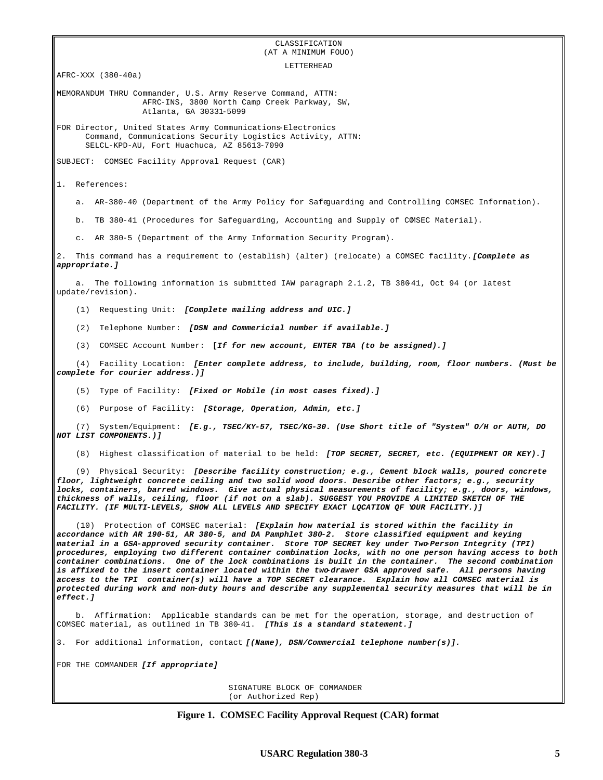#### CLASSIFICATION (AT A MINIMUM FOUO)

LETTERHEAD AFRC-XXX (380-40a) MEMORANDUM THRU Commander, U.S. Army Reserve Command, ATTN: AFRC-INS, 3800 North Camp Creek Parkway, SW, Atlanta, GA 30331-5099 FOR Director, United States Army Communications-Electronics Command, Communications Security Logistics Activity, ATTN: SELCL-KPD-AU, Fort Huachuca, AZ 85613-7090 SUBJECT: COMSEC Facility Approval Request (CAR) 1. References: a. AR-380-40 (Department of the Army Policy for Safeguarding and Controlling COMSEC Information). b. TB 380-41 (Procedures for Safeguarding, Accounting and Supply of COMSEC Material). c. AR 380-5 (Department of the Army Information Security Program). 2. This command has a requirement to (establish) (alter) (relocate) a COMSEC facility. *[Complete as appropriate.]* a. The following information is submitted IAW paragraph 2.1.2, TB 380-41, Oct 94 (or latest update/revision). (1) Requesting Unit: *[Complete mailing address and UIC.]* (2) Telephone Number: *[DSN and Commericial number if available.]* (3) COMSEC Account Number: **[***If for new account, ENTER TBA (to be assigned).]* (4) Facility Location: *[Enter complete address, to include, building, room, floor numbers. (Must be complete for courier address.)]* (5) Type of Facility: *[Fixed or Mobile (in most cases fixed).]* (6) Purpose of Facility: *[Storage, Operation, Admin, etc.]* (7) System/Equipment: *[E.g., TSEC/KY-57, TSEC/KG-30. (Use Short title of "System" O/H or AUTH, DO NOT LIST COMPONENTS.)]* (8) Highest classification of material to be held: *[TOP SECRET, SECRET, etc. (EQUIPMENT OR KEY).]* (9) Physical Security: *[Describe facility construction; e.g., Cement block walls, poured concrete floor, lightweight concrete ceiling and two solid wood doors. Describe other factors; e.g., security locks, containers, barred windows. Give actual physical measurements of facility; e.g., doors, windows, thickness of walls, ceiling, floor (if not on a slab). SUGGEST YOU PROVIDE A LIMITED SKETCH OF THE FACILITY. (IF MULTI-LEVELS, SHOW ALL LEVELS AND SPECIFY EXACT LQCATION QF YOUR FACILITY.)]* (10) Protection of COMSEC material: *[Explain how material is stored within the facility in accordance with AR 190-51, AR 380-5, and DA Pamphlet 380-2. Store classified equipment and keying material in a GSA-approved security container. Store TOP SECRET key under Two-Person Integrity (TPI) procedures, employing two different container combination locks, with no one person having access to both container combinations. One of the lock combinations is built in the container. The second combination is affixed to the insert container located within the two-drawer GSA approved safe. All persons having access to the TPI container(s) will have a TOP SECRET clearance. Explain how all COMSEC material is protected during work and non-duty hours and describe any supplemental security measures that will be in effect.]* b. Affirmation: Applicable standards can be met for the operation, storage, and destruction of COMSEC material, as outlined in TB 380-41. *[This is a standard statement.]* 3. For additional information, contact *[(Name), DSN/Commercial telephone number(s)].* FOR THE COMMANDER *[If appropriate]*

> SIGNATURE BLOCK OF COMMANDER (or Authorized Rep)

**Figure 1. COMSEC Facility Approval Request (CAR) format**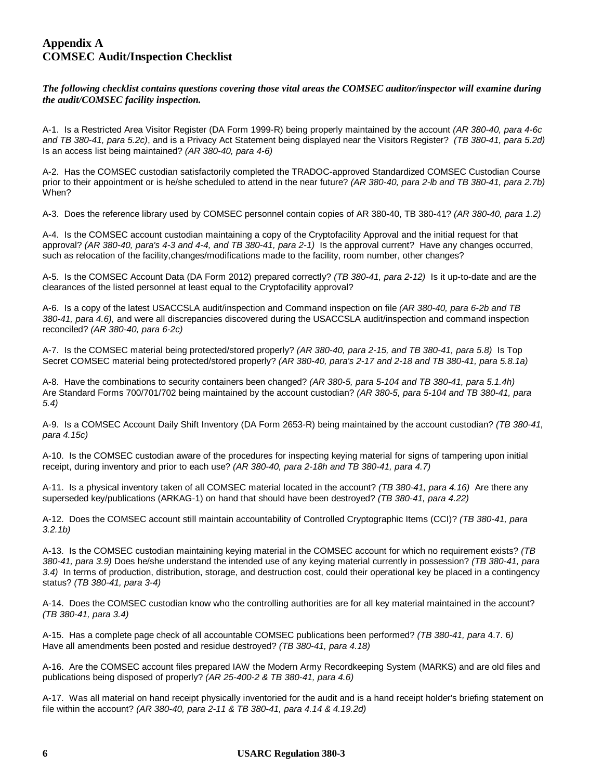## **Appendix A COMSEC Audit/Inspection Checklist**

### *The following checklist contains questions covering those vital areas the COMSEC auditor/inspector will examine during the audit/COMSEC facility inspection.*

A-1. Is a Restricted Area Visitor Register (DA Form 1999-R) being properly maintained by the account *(AR 380-40, para 4-6c and TB 380-41, para 5.2c)*, and is a Privacy Act Statement being displayed near the Visitors Register? *(TB 380-41, para 5.2d)* Is an access list being maintained? *(AR 380-40, para 4-6)*

A-2. Has the COMSEC custodian satisfactorily completed the TRADOC-approved Standardized COMSEC Custodian Course prior to their appointment or is he/she scheduled to attend in the near future? *(AR 380-40, para 2-lb and TB 380-41, para 2.7b)* When?

A-3. Does the reference library used by COMSEC personnel contain copies of AR 380-40, TB 380-41? *(AR 380-40, para 1.2)*

A-4. Is the COMSEC account custodian maintaining a copy of the Cryptofacility Approval and the initial request for that approval? *(AR 380-40, para's 4-3 and 4-4, and TB 380-41, para 2-1)* Is the approval current? Have any changes occurred, such as relocation of the facility,changes/modifications made to the facility, room number, other changes?

A-5. Is the COMSEC Account Data (DA Form 2012) prepared correctly? *(TB 380-41, para 2-12)* Is it up-to-date and are the clearances of the listed personnel at least equal to the Cryptofacility approval?

A-6. Is a copy of the latest USACCSLA audit/inspection and Command inspection on file *(AR 380-40, para 6-2b and TB 380-41, para 4.6),* and were all discrepancies discovered during the USACCSLA audit/inspection and command inspection reconciled? *(AR 380-40, para 6-2c)*

A-7. Is the COMSEC material being protected/stored properly? *(AR 380-40, para 2-15, and TB 380-41, para 5.8)* Is Top Secret COMSEC material being protected/stored properly? *(AR 380-40, para's 2-17 and 2-18 and TB 380-41, para 5.8.1a)*

A-8. Have the combinations to security containers been changed? *(AR 380-5, para 5-104 and TB 380-41, para 5.1.4h)* Are Standard Forms 700/701/702 being maintained by the account custodian? *(AR 380-5, para 5-104 and TB 380-41, para 5.4)*

A-9. Is a COMSEC Account Daily Shift Inventory (DA Form 2653-R) being maintained by the account custodian? *(TB 380-41, para 4.15c)*

A-10. Is the COMSEC custodian aware of the procedures for inspecting keying material for signs of tampering upon initial receipt, during inventory and prior to each use? *(AR 380-40, para 2-18h and TB 380-41, para 4.7)*

A-11. Is a physical inventory taken of all COMSEC material located in the account? *(TB 380-41, para 4.16)* Are there any superseded key/publications (ARKAG-1) on hand that should have been destroyed? *(TB 380-41, para 4.22)*

A-12. Does the COMSEC account still maintain accountability of Controlled Cryptographic Items (CCI)? *(TB 380-41, para 3.2.1b)*

A-13. Is the COMSEC custodian maintaining keying material in the COMSEC account for which no requirement exists? *(TB 380-41, para 3.9)* Does he/she understand the intended use of any keying material currently in possession? *(TB 380-41, para 3.4)* In terms of production, distribution, storage, and destruction cost, could their operational key be placed in a contingency status? *(TB 380-41, para 3-4)*

A-14. Does the COMSEC custodian know who the controlling authorities are for all key material maintained in the account? *(TB 380-41, para 3.4)*

A-15. Has a complete page check of all accountable COMSEC publications been performed? *(TB 380-41, para* 4.7. 6*)* Have all amendments been posted and residue destroyed? *(TB 380-41, para 4.18)*

A-16. Are the COMSEC account files prepared IAW the Modern Army Recordkeeping System (MARKS) and are old files and publications being disposed of properly? *(AR 25-400-2 & TB 380-41, para 4.6)*

A-17. Was all material on hand receipt physically inventoried for the audit and is a hand receipt holder's briefing statement on file within the account? *(AR 380-40, para 2-11 & TB 380-41, para 4.14 & 4.19.2d)*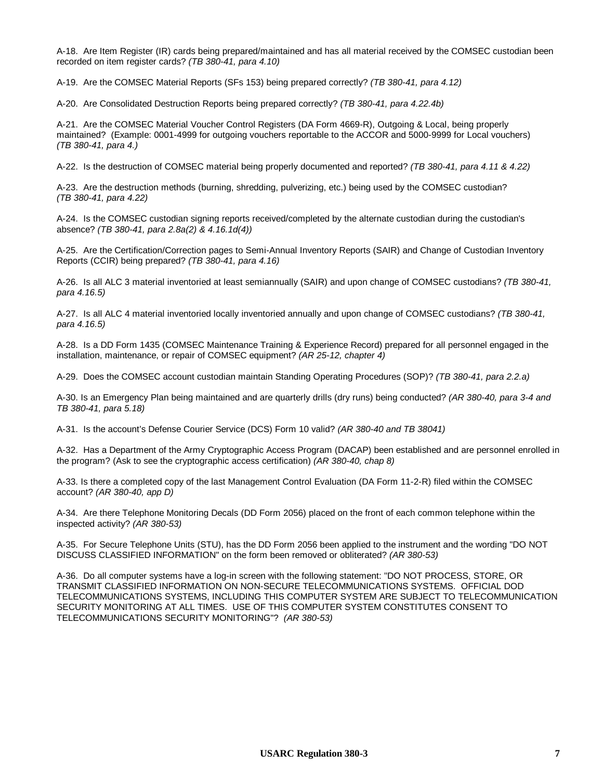A-18. Are Item Register (IR) cards being prepared/maintained and has all material received by the COMSEC custodian been recorded on item register cards? *(TB 380-41, para 4.10)*

A-19. Are the COMSEC Material Reports (SFs 153) being prepared correctly? *(TB 380-41, para 4.12)*

A-20. Are Consolidated Destruction Reports being prepared correctly? *(TB 380-41, para 4.22.4b)*

A-21. Are the COMSEC Material Voucher Control Registers (DA Form 4669-R), Outgoing & Local, being properly maintained? (Example: 0001-4999 for outgoing vouchers reportable to the ACCOR and 5000-9999 for Local vouchers) *(TB 380-41, para 4.)*

A-22. Is the destruction of COMSEC material being properly documented and reported? *(TB 380-41, para 4.11 & 4.22)*

A-23. Are the destruction methods (burning, shredding, pulverizing, etc.) being used by the COMSEC custodian? *(TB 380-41, para 4.22)*

A-24. Is the COMSEC custodian signing reports received/completed by the alternate custodian during the custodian's absence? *(TB 380-41, para 2.8a(2) & 4.16.1d(4))*

A-25. Are the Certification/Correction pages to Semi-Annual Inventory Reports (SAIR) and Change of Custodian Inventory Reports (CCIR) being prepared? *(TB 380-41, para 4.16)*

A-26. Is all ALC 3 material inventoried at least semiannually (SAIR) and upon change of COMSEC custodians? *(TB 380-41, para 4.16.5)*

A-27. Is all ALC 4 material inventoried locally inventoried annually and upon change of COMSEC custodians? *(TB 380-41, para 4.16.5)*

A-28. Is a DD Form 1435 (COMSEC Maintenance Training & Experience Record) prepared for all personnel engaged in the installation, maintenance, or repair of COMSEC equipment? *(AR 25-12, chapter 4)*

A-29. Does the COMSEC account custodian maintain Standing Operating Procedures (SOP)? *(TB 380-41, para 2.2.a)*

A-30. Is an Emergency Plan being maintained and are quarterly drills (dry runs) being conducted? *(AR 380-40, para 3-4 and TB 380-41, para 5.18)*

A-31. Is the account's Defense Courier Service (DCS) Form 10 valid? *(AR 380-40 and TB 38041)*

A-32. Has a Department of the Army Cryptographic Access Program (DACAP) been established and are personnel enrolled in the program? (Ask to see the cryptographic access certification) *(AR 380-40, chap 8)*

A-33. Is there a completed copy of the last Management Control Evaluation (DA Form 11-2-R) filed within the COMSEC account? *(AR 380-40, app D)*

A-34. Are there Telephone Monitoring Decals (DD Form 2056) placed on the front of each common telephone within the inspected activity? *(AR 380-53)*

A-35. For Secure Telephone Units (STU), has the DD Form 2056 been applied to the instrument and the wording "DO NOT DISCUSS CLASSIFIED INFORMATION" on the form been removed or obliterated? *(AR 380-53)*

A-36. Do all computer systems have a log-in screen with the following statement: "DO NOT PROCESS, STORE, OR TRANSMIT CLASSIFIED INFORMATION ON NON-SECURE TELECOMMUNICATIONS SYSTEMS. OFFICIAL DOD TELECOMMUNICATIONS SYSTEMS, INCLUDING THIS COMPUTER SYSTEM ARE SUBJECT TO TELECOMMUNICATION SECURITY MONITORING AT ALL TIMES. USE OF THIS COMPUTER SYSTEM CONSTITUTES CONSENT TO TELECOMMUNICATIONS SECURITY MONITORING"? *(AR 380-53)*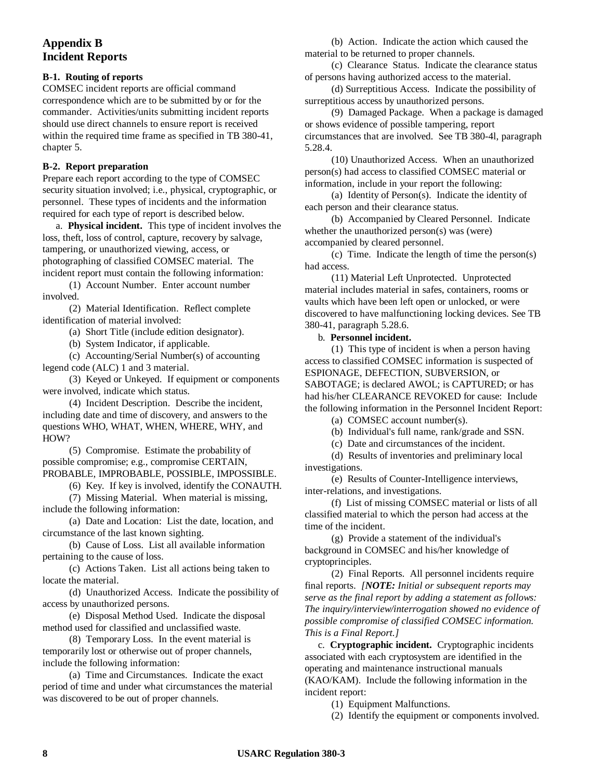# **Appendix B Incident Reports**

### **B-1. Routing of reports**

COMSEC incident reports are official command correspondence which are to be submitted by or for the commander. Activities/units submitting incident reports should use direct channels to ensure report is received within the required time frame as specified in TB 380-41, chapter 5.

### **B-2. Report preparation**

Prepare each report according to the type of COMSEC security situation involved; i.e., physical, cryptographic, or personnel. These types of incidents and the information required for each type of report is described below.

a. **Physical incident.** This type of incident involves the loss, theft, loss of control, capture, recovery by salvage, tampering, or unauthorized viewing, access, or photographing of classified COMSEC material. The incident report must contain the following information:

(1) Account Number. Enter account number involved.

(2) Material Identification. Reflect complete identification of material involved:

(a) Short Title (include edition designator).

(b) System Indicator, if applicable.

(c) Accounting/Serial Number(s) of accounting legend code (ALC) 1 and 3 material.

(3) Keyed or Unkeyed. If equipment or components were involved, indicate which status.

(4) Incident Description. Describe the incident, including date and time of discovery, and answers to the questions WHO, WHAT, WHEN, WHERE, WHY, and HOW?

(5) Compromise. Estimate the probability of possible compromise; e.g., compromise CERTAIN, PROBABLE, IMPROBABLE, POSSIBLE, IMPOSSIBLE.

(6) Key. If key is involved, identify the CONAUTH.

(7) Missing Material. When material is missing, include the following information:

(a) Date and Location: List the date, location, and circumstance of the last known sighting.

(b) Cause of Loss. List all available information pertaining to the cause of loss.

(c) Actions Taken. List all actions being taken to locate the material.

(d) Unauthorized Access. Indicate the possibility of access by unauthorized persons.

(e) Disposal Method Used. Indicate the disposal method used for classified and unclassified waste.

(8) Temporary Loss. In the event material is temporarily lost or otherwise out of proper channels, include the following information:

(a) Time and Circumstances. Indicate the exact period of time and under what circumstances the material was discovered to be out of proper channels.

(b) Action. Indicate the action which caused the material to be returned to proper channels.

(c) Clearance Status. Indicate the clearance status of persons having authorized access to the material.

(d) Surreptitious Access. Indicate the possibility of surreptitious access by unauthorized persons.

(9) Damaged Package. When a package is damaged or shows evidence of possible tampering, report circumstances that are involved. See TB 380-4l, paragraph 5.28.4.

(10) Unauthorized Access. When an unauthorized person(s) had access to classified COMSEC material or information, include in your report the following:

(a) Identity of Person(s). Indicate the identity of each person and their clearance status.

(b) Accompanied by Cleared Personnel. Indicate whether the unauthorized person(s) was (were) accompanied by cleared personnel.

(c) Time. Indicate the length of time the person(s) had access.

(11) Material Left Unprotected. Unprotected material includes material in safes, containers, rooms or vaults which have been left open or unlocked, or were discovered to have malfunctioning locking devices. See TB 380-41, paragraph 5.28.6.

b. **Personnel incident.**

(1) This type of incident is when a person having access to classified COMSEC information is suspected of ESPIONAGE, DEFECTION, SUBVERSION, or SABOTAGE; is declared AWOL; is CAPTURED; or has had his/her CLEARANCE REVOKED for cause: Include the following information in the Personnel Incident Report:

(a) COMSEC account number(s).

(b) Individual's full name, rank/grade and SSN.

(c) Date and circumstances of the incident.

(d) Results of inventories and preliminary local investigations.

(e) Results of Counter-Intelligence interviews, inter-relations, and investigations.

(f) List of missing COMSEC material or lists of all classified material to which the person had access at the time of the incident.

(g) Provide a statement of the individual's background in COMSEC and his/her knowledge of cryptoprinciples.

(2) Final Reports. All personnel incidents require final reports. *[NOTE: Initial or subsequent reports may serve as the final report by adding a statement as follows: The inquiry/interview/interrogation showed no evidence of possible compromise of classified COMSEC information. This is a Final Report.]*

c. **Cryptographic incident.** Cryptographic incidents associated with each cryptosystem are identified in the operating and maintenance instructional manuals (KAO/KAM). Include the following information in the incident report:

(1) Equipment Malfunctions.

(2) Identify the equipment or components involved.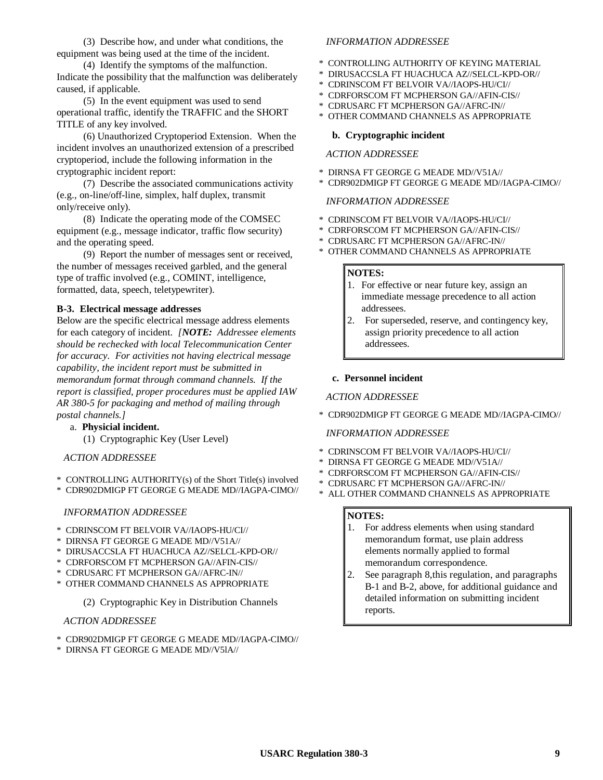(3) Describe how, and under what conditions, the equipment was being used at the time of the incident.

(4) Identify the symptoms of the malfunction. Indicate the possibility that the malfunction was deliberately caused, if applicable.

(5) In the event equipment was used to send operational traffic, identify the TRAFFIC and the SHORT TITLE of any key involved.

(6) Unauthorized Cryptoperiod Extension. When the incident involves an unauthorized extension of a prescribed cryptoperiod, include the following information in the cryptographic incident report:

(7) Describe the associated communications activity (e.g., on-line/off-line, simplex, half duplex, transmit only/receive only).

(8) Indicate the operating mode of the COMSEC equipment (e.g., message indicator, traffic flow security) and the operating speed.

(9) Report the number of messages sent or received, the number of messages received garbled, and the general type of traffic involved (e.g., COMINT, intelligence, formatted, data, speech, teletypewriter).

### **B-3. Electrical message addresses**

Below are the specific electrical message address elements for each category of incident. *[NOTE: Addressee elements should be rechecked with local Telecommunication Center for accuracy. For activities not having electrical message capability, the incident report must be submitted in memorandum format through command channels. If the report is classified, proper procedures must be applied IAW AR 380-5 for packaging and method of mailing through postal channels.]*

a. **Physicial incident.**

(1) Cryptographic Key (User Level)

*ACTION ADDRESSEE*

- \* CONTROLLING AUTHORITY(s) of the Short Title(s) involved
- \* CDR902DMIGP FT GEORGE G MEADE MD//IAGPA-CIMO//

### *INFORMATION ADDRESSEE*

- \* CDRINSCOM FT BELVOIR VA//IAOPS-HU/CI//
- \* DIRNSA FT GEORGE G MEADE MD//V51A//
- \* DIRUSACCSLA FT HUACHUCA AZ//SELCL-KPD-OR//
- \* CDRFORSCOM FT MCPHERSON GA//AFIN-CIS//
- \* CDRUSARC FT MCPHERSON GA//AFRC-IN//
- \* OTHER COMMAND CHANNELS AS APPROPRIATE
	- (2) Cryptographic Key in Distribution Channels

### *ACTION ADDRESSEE*

- \* CDR902DMIGP FT GEORGE G MEADE MD//IAGPA-CIMO//
- \* DIRNSA FT GEORGE G MEADE MD//V5lA//

#### *INFORMATION ADDRESSEE*

- \* CONTROLLING AUTHORITY OF KEYING MATERIAL
- \* DIRUSACCSLA FT HUACHUCA AZ//SELCL-KPD-OR//
- \* CDRINSCOM FT BELVOIR VA//IAOPS-HU/CI//
- \* CDRFORSCOM FT MCPHERSON GA//AFIN-CIS//
- \* CDRUSARC FT MCPHERSON GA//AFRC-IN//
- \* OTHER COMMAND CHANNELS AS APPROPRIATE

### **b. Cryptographic incident**

### *ACTION ADDRESSEE*

- \* DIRNSA FT GEORGE G MEADE MD//V51A//
- \* CDR902DMIGP FT GEORGE G MEADE MD//IAGPA-CIMO//

### *INFORMATION ADDRESSEE*

- \* CDRINSCOM FT BELVOIR VA//IAOPS-HU/CI//
- \* CDRFORSCOM FT MCPHERSON GA//AFIN-CIS//
- \* CDRUSARC FT MCPHERSON GA//AFRC-IN//
- \* OTHER COMMAND CHANNELS AS APPROPRIATE

### **NOTES:**

- 1. For effective or near future key, assign an immediate message precedence to all action addressees.
- 2. For superseded, reserve, and contingency key, assign priority precedence to all action addressees.

### **c. Personnel incident**

### *ACTION ADDRESSEE*

\* CDR902DMIGP FT GEORGE G MEADE MD//IAGPA-CIMO//

### *INFORMATION ADDRESSEE*

- \* CDRINSCOM FT BELVOIR VA//IAOPS-HU/CI//
- \* DIRNSA FT GEORGE G MEADE MD//V51A//
- \* CDRFORSCOM FT MCPHERSON GA//AFIN-CIS//
- \* CDRUSARC FT MCPHERSON GA//AFRC-IN//
- \* ALL OTHER COMMAND CHANNELS AS APPROPRIATE

### **NOTES:**

- 1. For address elements when using standard memorandum format, use plain address elements normally applied to formal memorandum correspondence.
- 2. See paragraph 8,this regulation, and paragraphs B-1 and B-2, above, for additional guidance and detailed information on submitting incident reports.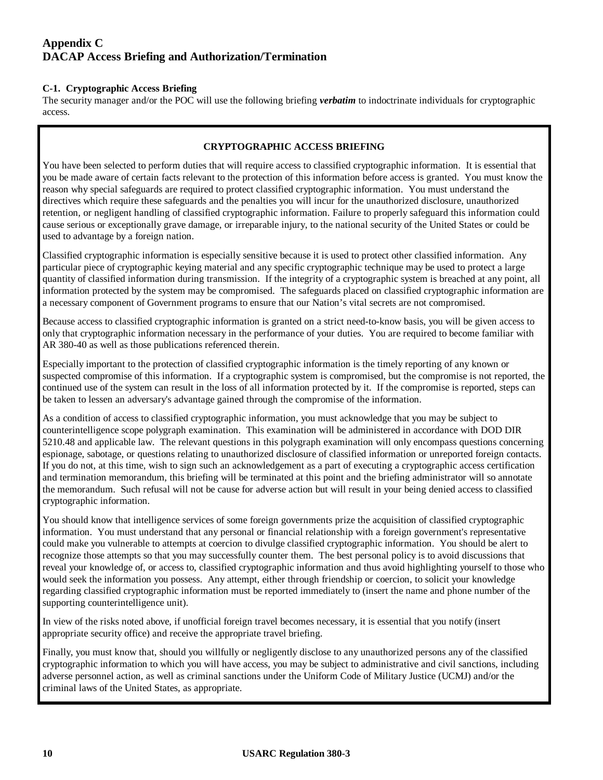# **Appendix C DACAP Access Briefing and Authorization/Termination**

### **C-1. Cryptographic Access Briefing**

The security manager and/or the POC will use the following briefing *verbatim* to indoctrinate individuals for cryptographic access.

### **CRYPTOGRAPHIC ACCESS BRIEFING**

You have been selected to perform duties that will require access to classified cryptographic information. It is essential that you be made aware of certain facts relevant to the protection of this information before access is granted. You must know the reason why special safeguards are required to protect classified cryptographic information. You must understand the directives which require these safeguards and the penalties you will incur for the unauthorized disclosure, unauthorized retention, or negligent handling of classified cryptographic information. Failure to properly safeguard this information could cause serious or exceptionally grave damage, or irreparable injury, to the national security of the United States or could be used to advantage by a foreign nation.

Classified cryptographic information is especially sensitive because it is used to protect other classified information. Any particular piece of cryptographic keying material and any specific cryptographic technique may be used to protect a large quantity of classified information during transmission. If the integrity of a cryptographic system is breached at any point, all information protected by the system may be compromised. The safeguards placed on classified cryptographic information are a necessary component of Government programs to ensure that our Nation's vital secrets are not compromised.

Because access to classified cryptographic information is granted on a strict need-to-know basis, you will be given access to only that cryptographic information necessary in the performance of your duties. You are required to become familiar with AR 380-40 as well as those publications referenced therein.

Especially important to the protection of classified cryptographic information is the timely reporting of any known or suspected compromise of this information. If a cryptographic system is compromised, but the compromise is not reported, the continued use of the system can result in the loss of all information protected by it. If the compromise is reported, steps can be taken to lessen an adversary's advantage gained through the compromise of the information.

As a condition of access to classified cryptographic information, you must acknowledge that you may be subject to counterintelligence scope polygraph examination. This examination will be administered in accordance with DOD DIR 5210.48 and applicable law. The relevant questions in this polygraph examination will only encompass questions concerning espionage, sabotage, or questions relating to unauthorized disclosure of classified information or unreported foreign contacts. If you do not, at this time, wish to sign such an acknowledgement as a part of executing a cryptographic access certification and termination memorandum, this briefing will be terminated at this point and the briefing administrator will so annotate the memorandum. Such refusal will not be cause for adverse action but will result in your being denied access to classified cryptographic information.

You should know that intelligence services of some foreign governments prize the acquisition of classified cryptographic information. You must understand that any personal or financial relationship with a foreign government's representative could make you vulnerable to attempts at coercion to divulge classified cryptographic information. You should be alert to recognize those attempts so that you may successfully counter them. The best personal policy is to avoid discussions that reveal your knowledge of, or access to, classified cryptographic information and thus avoid highlighting yourself to those who would seek the information you possess. Any attempt, either through friendship or coercion, to solicit your knowledge regarding classified cryptographic information must be reported immediately to (insert the name and phone number of the supporting counterintelligence unit).

In view of the risks noted above, if unofficial foreign travel becomes necessary, it is essential that you notify (insert appropriate security office) and receive the appropriate travel briefing.

Finally, you must know that, should you willfully or negligently disclose to any unauthorized persons any of the classified cryptographic information to which you will have access, you may be subject to administrative and civil sanctions, including adverse personnel action, as well as criminal sanctions under the Uniform Code of Military Justice (UCMJ) and/or the criminal laws of the United States, as appropriate.